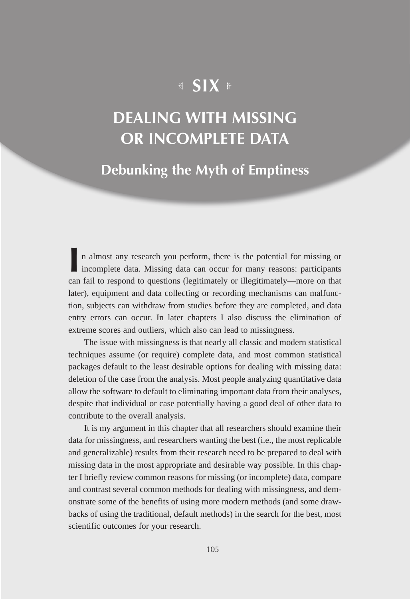# **SIX &**

# **DEALING WITH MISSING OR INCOMPLETE DATA**

**Debunking the Myth of Emptiness**

**I** n almost any research you perform, there is the potential for missing or incomplete data. Missing data can occur for many reasons: participants can fail to respond to questions (legitimately or illegitimately—more on that later), equipment and data collecting or recording mechanisms can malfunction, subjects can withdraw from studies before they are completed, and data entry errors can occur. In later chapters I also discuss the elimination of extreme scores and outliers, which also can lead to missingness.

The issue with missingness is that nearly all classic and modern statistical techniques assume (or require) complete data, and most common statistical packages default to the least desirable options for dealing with missing data: deletion of the case from the analysis. Most people analyzing quantitative data allow the software to default to eliminating important data from their analyses, despite that individual or case potentially having a good deal of other data to contribute to the overall analysis.

It is my argument in this chapter that all researchers should examine their data for missingness, and researchers wanting the best (i.e., the most replicable and generalizable) results from their research need to be prepared to deal with missing data in the most appropriate and desirable way possible. In this chapter I briefly review common reasons for missing (or incomplete) data, compare and contrast several common methods for dealing with missingness, and demonstrate some of the benefits of using more modern methods (and some drawbacks of using the traditional, default methods) in the search for the best, most scientific outcomes for your research.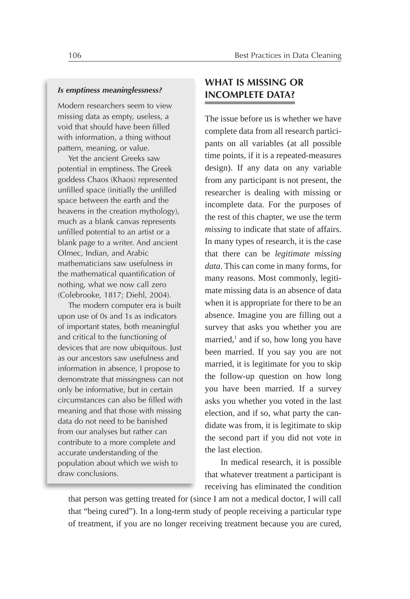#### *Is emptiness meaninglessness?*

Modern researchers seem to view missing data as empty, useless, a void that should have been filled with information, a thing without pattern, meaning, or value.

Yet the ancient Greeks saw potential in emptiness. The Greek goddess Chaos (Khaos) represented unfilled space (initially the unfilled space between the earth and the heavens in the creation mythology), much as a blank canvas represents unfilled potential to an artist or a blank page to a writer. And ancient Olmec, Indian, and Arabic mathematicians saw usefulness in the mathematical quantification of nothing, what we now call zero (Colebrooke, 1817; Diehl, 2004).

The modern computer era is built upon use of 0s and 1s as indicators of important states, both meaningful and critical to the functioning of devices that are now ubiquitous. Just as our ancestors saw usefulness and information in absence, I propose to demonstrate that missingness can not only be informative, but in certain circumstances can also be filled with meaning and that those with missing data do not need to be banished from our analyses but rather can contribute to a more complete and accurate understanding of the population about which we wish to draw conclusions.

## **WHAT IS MISSING OR INCOMPLETE DATA?**

The issue before us is whether we have complete data from all research participants on all variables (at all possible time points, if it is a repeated-measures design). If any data on any variable from any participant is not present, the researcher is dealing with missing or incomplete data. For the purposes of the rest of this chapter, we use the term *missing* to indicate that state of affairs. In many types of research, it is the case that there can be *legitimate missing data*. This can come in many forms, for many reasons. Most commonly, legitimate missing data is an absence of data when it is appropriate for there to be an absence. Imagine you are filling out a survey that asks you whether you are married, $<sup>1</sup>$  and if so, how long you have</sup> been married. If you say you are not married, it is legitimate for you to skip the follow-up question on how long you have been married. If a survey asks you whether you voted in the last election, and if so, what party the candidate was from, it is legitimate to skip the second part if you did not vote in the last election.

In medical research, it is possible that whatever treatment a participant is receiving has eliminated the condition

that person was getting treated for (since I am not a medical doctor, I will call that "being cured"). In a long-term study of people receiving a particular type of treatment, if you are no longer receiving treatment because you are cured,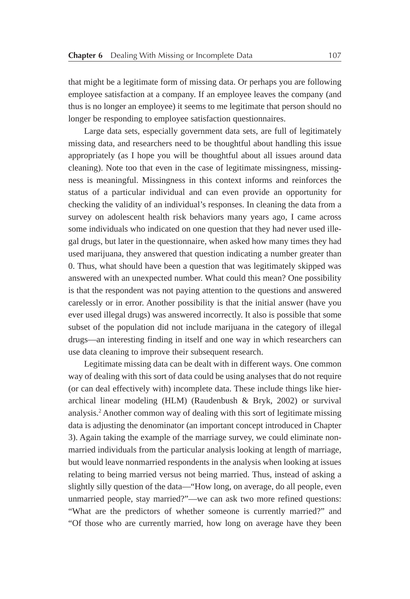that might be a legitimate form of missing data. Or perhaps you are following employee satisfaction at a company. If an employee leaves the company (and thus is no longer an employee) it seems to me legitimate that person should no longer be responding to employee satisfaction questionnaires.

Large data sets, especially government data sets, are full of legitimately missing data, and researchers need to be thoughtful about handling this issue appropriately (as I hope you will be thoughtful about all issues around data cleaning). Note too that even in the case of legitimate missingness, missingness is meaningful. Missingness in this context informs and reinforces the status of a particular individual and can even provide an opportunity for checking the validity of an individual's responses. In cleaning the data from a survey on adolescent health risk behaviors many years ago, I came across some individuals who indicated on one question that they had never used illegal drugs, but later in the questionnaire, when asked how many times they had used marijuana, they answered that question indicating a number greater than 0. Thus, what should have been a question that was legitimately skipped was answered with an unexpected number. What could this mean? One possibility is that the respondent was not paying attention to the questions and answered carelessly or in error. Another possibility is that the initial answer (have you ever used illegal drugs) was answered incorrectly. It also is possible that some subset of the population did not include marijuana in the category of illegal drugs—an interesting finding in itself and one way in which researchers can use data cleaning to improve their subsequent research.

Legitimate missing data can be dealt with in different ways. One common way of dealing with this sort of data could be using analyses that do not require (or can deal effectively with) incomplete data. These include things like hierarchical linear modeling (HLM) (Raudenbush & Bryk, 2002) or survival analysis.2 Another common way of dealing with this sort of legitimate missing data is adjusting the denominator (an important concept introduced in Chapter 3). Again taking the example of the marriage survey, we could eliminate nonmarried individuals from the particular analysis looking at length of marriage, but would leave nonmarried respondents in the analysis when looking at issues relating to being married versus not being married. Thus, instead of asking a slightly silly question of the data—"How long, on average, do all people, even unmarried people, stay married?"—we can ask two more refined questions: "What are the predictors of whether someone is currently married?" and "Of those who are currently married, how long on average have they been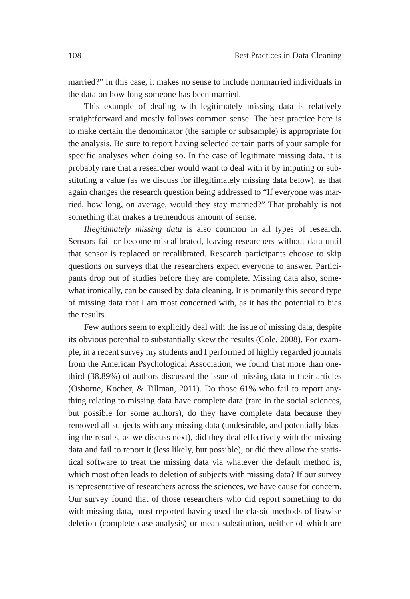married?" In this case, it makes no sense to include nonmarried individuals in the data on how long someone has been married.

This example of dealing with legitimately missing data is relatively straightforward and mostly follows common sense. The best practice here is to make certain the denominator (the sample or subsample) is appropriate for the analysis. Be sure to report having selected certain parts of your sample for specific analyses when doing so. In the case of legitimate missing data, it is probably rare that a researcher would want to deal with it by imputing or substituting a value (as we discuss for illegitimately missing data below), as that again changes the research question being addressed to "If everyone was married, how long, on average, would they stay married?" That probably is not something that makes a tremendous amount of sense.

*Illegitimately missing data* is also common in all types of research. Sensors fail or become miscalibrated, leaving researchers without data until that sensor is replaced or recalibrated. Research participants choose to skip questions on surveys that the researchers expect everyone to answer. Participants drop out of studies before they are complete. Missing data also, somewhat ironically, can be caused by data cleaning. It is primarily this second type of missing data that I am most concerned with, as it has the potential to bias the results.

Few authors seem to explicitly deal with the issue of missing data, despite its obvious potential to substantially skew the results (Cole, 2008). For example, in a recent survey my students and I performed of highly regarded journals from the American Psychological Association, we found that more than onethird (38.89%) of authors discussed the issue of missing data in their articles (Osborne, Kocher, & Tillman, 2011). Do those 61% who fail to report anything relating to missing data have complete data (rare in the social sciences, but possible for some authors), do they have complete data because they removed all subjects with any missing data (undesirable, and potentially biasing the results, as we discuss next), did they deal effectively with the missing data and fail to report it (less likely, but possible), or did they allow the statistical software to treat the missing data via whatever the default method is, which most often leads to deletion of subjects with missing data? If our survey is representative of researchers across the sciences, we have cause for concern. Our survey found that of those researchers who did report something to do with missing data, most reported having used the classic methods of listwise deletion (complete case analysis) or mean substitution, neither of which are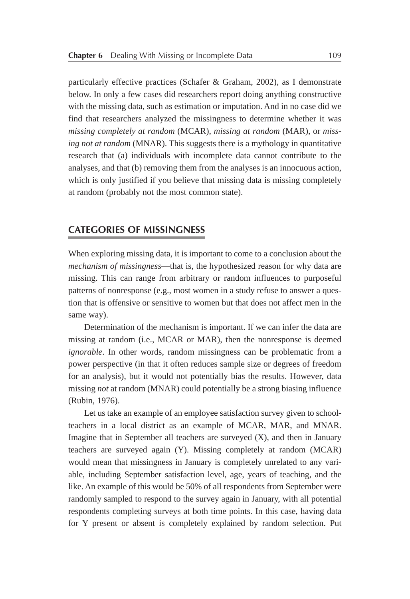particularly effective practices (Schafer & Graham, 2002), as I demonstrate below. In only a few cases did researchers report doing anything constructive with the missing data, such as estimation or imputation. And in no case did we find that researchers analyzed the missingness to determine whether it was *missing completely at random* (MCAR), *missing at random* (MAR), or *missing not at random* (MNAR). This suggests there is a mythology in quantitative research that (a) individuals with incomplete data cannot contribute to the analyses, and that (b) removing them from the analyses is an innocuous action, which is only justified if you believe that missing data is missing completely at random (probably not the most common state).

#### **CATEGORIES OF MISSINGNESS**

When exploring missing data, it is important to come to a conclusion about the *mechanism of missingness*—that is, the hypothesized reason for why data are missing. This can range from arbitrary or random influences to purposeful patterns of nonresponse (e.g., most women in a study refuse to answer a question that is offensive or sensitive to women but that does not affect men in the same way).

Determination of the mechanism is important. If we can infer the data are missing at random (i.e., MCAR or MAR), then the nonresponse is deemed *ignorable*. In other words, random missingness can be problematic from a power perspective (in that it often reduces sample size or degrees of freedom for an analysis), but it would not potentially bias the results. However, data missing *not* at random (MNAR) could potentially be a strong biasing influence (Rubin, 1976).

Let us take an example of an employee satisfaction survey given to schoolteachers in a local district as an example of MCAR, MAR, and MNAR. Imagine that in September all teachers are surveyed (X), and then in January teachers are surveyed again (Y). Missing completely at random (MCAR) would mean that missingness in January is completely unrelated to any variable, including September satisfaction level, age, years of teaching, and the like. An example of this would be 50% of all respondents from September were randomly sampled to respond to the survey again in January, with all potential respondents completing surveys at both time points. In this case, having data for Y present or absent is completely explained by random selection. Put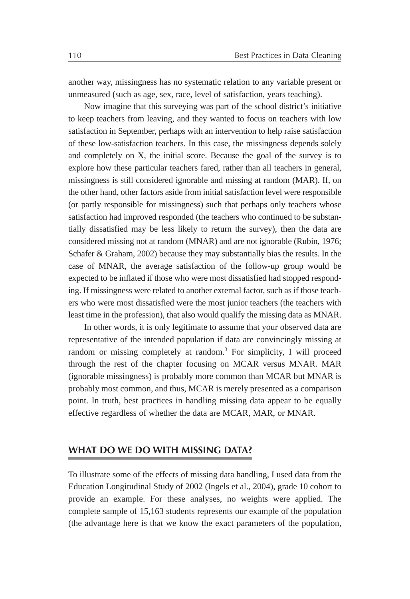another way, missingness has no systematic relation to any variable present or unmeasured (such as age, sex, race, level of satisfaction, years teaching).

Now imagine that this surveying was part of the school district's initiative to keep teachers from leaving, and they wanted to focus on teachers with low satisfaction in September, perhaps with an intervention to help raise satisfaction of these low-satisfaction teachers. In this case, the missingness depends solely and completely on X, the initial score. Because the goal of the survey is to explore how these particular teachers fared, rather than all teachers in general, missingness is still considered ignorable and missing at random (MAR). If, on the other hand, other factors aside from initial satisfaction level were responsible (or partly responsible for missingness) such that perhaps only teachers whose satisfaction had improved responded (the teachers who continued to be substantially dissatisfied may be less likely to return the survey), then the data are considered missing not at random (MNAR) and are not ignorable (Rubin, 1976; Schafer & Graham, 2002) because they may substantially bias the results. In the case of MNAR, the average satisfaction of the follow-up group would be expected to be inflated if those who were most dissatisfied had stopped responding. If missingness were related to another external factor, such as if those teachers who were most dissatisfied were the most junior teachers (the teachers with least time in the profession), that also would qualify the missing data as MNAR.

In other words, it is only legitimate to assume that your observed data are representative of the intended population if data are convincingly missing at random or missing completely at random.<sup>3</sup> For simplicity, I will proceed through the rest of the chapter focusing on MCAR versus MNAR. MAR (ignorable missingness) is probably more common than MCAR but MNAR is probably most common, and thus, MCAR is merely presented as a comparison point. In truth, best practices in handling missing data appear to be equally effective regardless of whether the data are MCAR, MAR, or MNAR.

#### **WHAT DO WE DO WITH MISSING DATA?**

To illustrate some of the effects of missing data handling, I used data from the Education Longitudinal Study of 2002 (Ingels et al., 2004), grade 10 cohort to provide an example. For these analyses, no weights were applied. The complete sample of 15,163 students represents our example of the population (the advantage here is that we know the exact parameters of the population,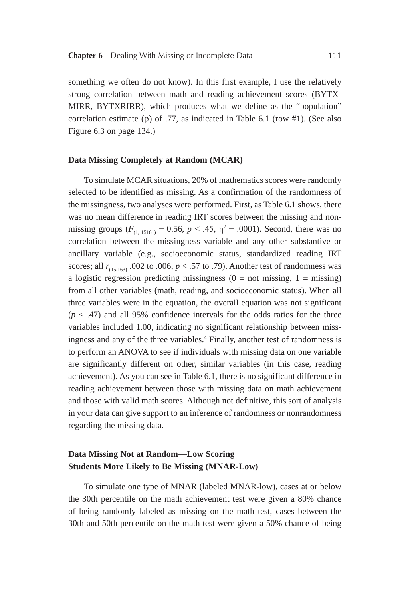something we often do not know). In this first example, I use the relatively strong correlation between math and reading achievement scores (BYTX-MIRR, BYTXRIRR), which produces what we define as the "population" correlation estimate ( $\rho$ ) of .77, as indicated in Table 6.1 (row #1). (See also Figure 6.3 on page 134.)

#### **Data Missing Completely at Random (MCAR)**

To simulate MCAR situations, 20% of mathematics scores were randomly selected to be identified as missing. As a confirmation of the randomness of the missingness, two analyses were performed. First, as Table 6.1 shows, there was no mean difference in reading IRT scores between the missing and nonmissing groups ( $F_{(1, 15161)} = 0.56$ ,  $p < .45$ ,  $\eta^2 = .0001$ ). Second, there was no correlation between the missingness variable and any other substantive or ancillary variable (e.g., socioeconomic status, standardized reading IRT scores; all  $r_{(15,163)}$  .002 to .006,  $p < .57$  to .79). Another test of randomness was a logistic regression predicting missingness  $(0 = not missing, 1 = missing)$ from all other variables (math, reading, and socioeconomic status). When all three variables were in the equation, the overall equation was not significant  $(p < .47)$  and all 95% confidence intervals for the odds ratios for the three variables included 1.00, indicating no significant relationship between missingness and any of the three variables.<sup>4</sup> Finally, another test of randomness is to perform an ANOVA to see if individuals with missing data on one variable are significantly different on other, similar variables (in this case, reading achievement). As you can see in Table 6.1, there is no significant difference in reading achievement between those with missing data on math achievement and those with valid math scores. Although not definitive, this sort of analysis in your data can give support to an inference of randomness or nonrandomness regarding the missing data.

## **Data Missing Not at Random—Low Scoring Students More Likely to Be Missing (MNAR-Low)**

To simulate one type of MNAR (labeled MNAR-low), cases at or below the 30th percentile on the math achievement test were given a 80% chance of being randomly labeled as missing on the math test, cases between the 30th and 50th percentile on the math test were given a 50% chance of being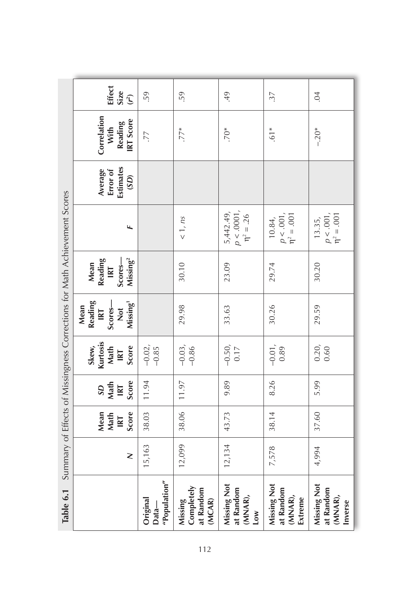|                                                                           | <b>Effect</b><br>Size<br>$\mathcal{L}$                                     | 59                                  | 59                                           | 49                                           | 37                                             | 04                                             |
|---------------------------------------------------------------------------|----------------------------------------------------------------------------|-------------------------------------|----------------------------------------------|----------------------------------------------|------------------------------------------------|------------------------------------------------|
|                                                                           | Correlation<br><b>IRT</b> Score<br>Reading<br>With                         | 77.                                 | $77*$                                        | $.70*$                                       | $.61*$                                         | $-.20*$                                        |
|                                                                           | Estimates<br>Average<br>Error of<br>(SD)                                   |                                     |                                              |                                              |                                                |                                                |
| Summary of Effects of Missingness Corrections for Math Achievement Scores | щ                                                                          |                                     | < 1, ns                                      | $p < .0001$ ,<br>5,442.49,<br>$\eta^2 = .26$ | $p < .001$ ,<br>$\eta^2 = .001$<br>10.84,      | $p < .001,$<br>$\eta^2 = .001$<br>13.35,       |
|                                                                           | Missing <sup>2</sup><br>Reading<br>Scores-<br>Mean<br>IRT                  |                                     | 30.10                                        | 23.09                                        | 29.74                                          | 30.20                                          |
|                                                                           | Reading<br>Missing <sup>1</sup><br>Scores-<br>Mean<br>$\frac{5}{2}$<br>IRT |                                     | 29.98                                        | 33.63                                        | 30.26                                          | 29.59                                          |
|                                                                           | Kurtosis<br>Skew,<br>Score<br>Math<br>IRT                                  | $-0.02,$<br>$-0.85$                 | $-0.03,$<br>$-0.86$                          | $-0.50,$<br>0.17                             | $-0.01,$<br>0.89                               | 0.20,<br>0.60                                  |
|                                                                           | Score<br>Math<br>S <sub>D</sub><br>IRT                                     | 11.94                               | 11.97                                        | 9.89                                         | 8.26                                           | 5.99                                           |
|                                                                           | Score<br>Mean<br>Math<br>IRT                                               | 38.03                               | 38.06                                        | 43.73                                        | 38.14                                          | 37.60                                          |
|                                                                           | $\geq$                                                                     | 15,163                              | 12,099                                       | 12,134                                       | 7,578                                          | 4,994                                          |
| Table 6.1                                                                 |                                                                            | "Population"<br>Original<br>$Data-$ | Completely<br>at Random<br>(MCAR)<br>Missing | Missing Not<br>at Random<br>(MNAR),<br>Low   | Missing Not<br>at Random<br>(MNAR),<br>Extreme | Missing Not<br>at Random<br>(MNAR),<br>Inverse |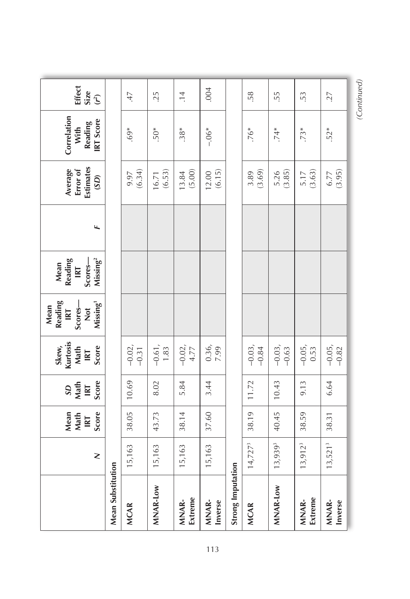| Score<br>Mean<br>Math<br>IRT        |
|-------------------------------------|
| $-0.02,$<br>10.69                   |
| $-0.61,$<br>1.83<br>$-0.31$<br>8.02 |
| $-0.02,$<br>4.77<br>5.84            |
| 0.36, 7.99<br>3.44                  |
|                                     |
| $-0.03,$<br>$-0.84$<br>11.72        |
| $-0.03,$<br>$-0.63$<br>10.43        |
| $-0.05,$<br>0.53<br>9.13            |
| $-0.05$ ,<br>$-0.82$<br>6.64        |

(Continued) *(Continued)*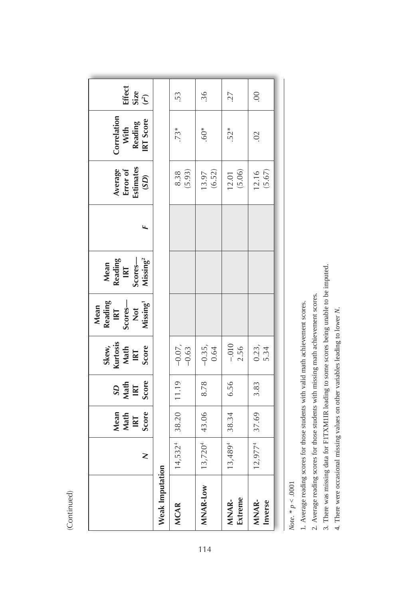|  | Ξ |
|--|---|
|  |   |
|  |   |
|  |   |
|  |   |
|  |   |
|  |   |

|                        | z                   | Mean<br>Math<br>IRT<br>Score | SD<br>Nath<br>Score | Skew,<br>Kurtosis<br>Math<br>IRT<br>IRT<br>Score | Mean<br>Reading<br>IRT<br>Scores—<br>Nissing | Mean<br>Reading<br>IRT<br>Scores—<br>Missing <sup>2</sup> | Average<br>Error of<br>Estimates<br>(SD) | Correlation<br>With<br>Reading<br>IRT Score | $\begin{array}{l} \mbox{Effect}\\ \mbox{Size}\\ (r^2) \end{array}$ |
|------------------------|---------------------|------------------------------|---------------------|--------------------------------------------------|----------------------------------------------|-----------------------------------------------------------|------------------------------------------|---------------------------------------------|--------------------------------------------------------------------|
| <b>Weak Imputation</b> |                     |                              |                     |                                                  |                                              |                                                           |                                          |                                             |                                                                    |
| <b>MCAR</b>            | $14,532^{4}$        | 38.20                        | 11.19               | $-0.07$ , $-0.63$                                |                                              |                                                           | $8.38$<br>(5.93)                         | $73*$                                       | 53                                                                 |
| MNAR-Low               | $13,720^{4}$        | 43.06                        | 8.78                | $-0.35, 0.64$                                    |                                              |                                                           | $13.97$<br>(6.52)                        | $60*$                                       | 36.                                                                |
| MNAR-<br>Extreme       | $13,489^{4}$        | 38.34                        | 6.56                | $-0.010$<br>2.56                                 |                                              |                                                           | $12.01$<br>(5.06)                        | 52*                                         | 27                                                                 |
| MNAR-<br>Inverse       | 12,977 <sup>4</sup> | 37.69                        | 3.83                | 0.23, 5.34                                       |                                              |                                                           | $12.16$<br>(5.67)                        | $\overline{0}$                              | $\overline{0}$                                                     |
|                        |                     |                              |                     |                                                  |                                              |                                                           |                                          |                                             |                                                                    |

Note. \* $p < .0001$ *Note.* \* *p* < .0001

1. Average reading scores for those students with valid math achievement scores. 1. Average reading scores for those students with valid math achievement scores.

2. Average reading scores for those students with missing math achievement scores. 2. Average reading scores for those students with missing math achievement scores.

3. There was missing data for F1TXM1IR leading to some scores being unable to be imputed. 3. There was missing data for F1TXM1IR leading to some scores being unable to be imputed.

4. There were occasional missing values on other variables leading to lower N. 4. There were occasional missing values on other variables leading to lower *N*.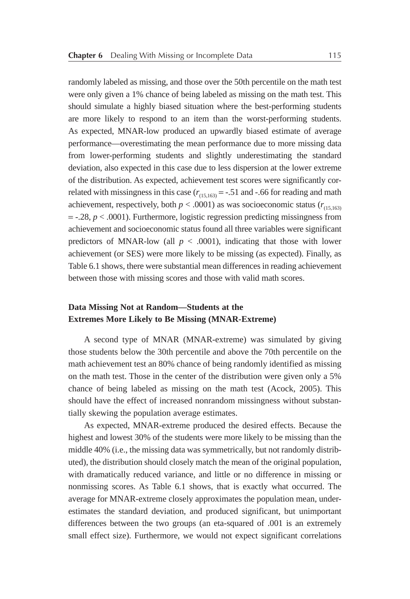randomly labeled as missing, and those over the 50th percentile on the math test were only given a 1% chance of being labeled as missing on the math test. This should simulate a highly biased situation where the best-performing students are more likely to respond to an item than the worst-performing students. As expected, MNAR-low produced an upwardly biased estimate of average performance—overestimating the mean performance due to more missing data from lower-performing students and slightly underestimating the standard deviation, also expected in this case due to less dispersion at the lower extreme of the distribution. As expected, achievement test scores were significantly correlated with missingness in this case  $(r<sub>(15,163)</sub> = -.51$  and -.66 for reading and math achievement, respectively, both  $p < .0001$ ) as was socioeconomic status ( $r_{(15,163)}$ ) = -.28, *p* < .0001). Furthermore, logistic regression predicting missingness from achievement and socioeconomic status found all three variables were significant predictors of MNAR-low (all  $p < .0001$ ), indicating that those with lower achievement (or SES) were more likely to be missing (as expected). Finally, as Table 6.1 shows, there were substantial mean differences in reading achievement between those with missing scores and those with valid math scores.

## **Data Missing Not at Random—Students at the Extremes More Likely to Be Missing (MNAR-Extreme)**

A second type of MNAR (MNAR-extreme) was simulated by giving those students below the 30th percentile and above the 70th percentile on the math achievement test an 80% chance of being randomly identified as missing on the math test. Those in the center of the distribution were given only a 5% chance of being labeled as missing on the math test (Acock, 2005). This should have the effect of increased nonrandom missingness without substantially skewing the population average estimates.

As expected, MNAR-extreme produced the desired effects. Because the highest and lowest 30% of the students were more likely to be missing than the middle 40% (i.e., the missing data was symmetrically, but not randomly distributed), the distribution should closely match the mean of the original population, with dramatically reduced variance, and little or no difference in missing or nonmissing scores. As Table 6.1 shows, that is exactly what occurred. The average for MNAR-extreme closely approximates the population mean, underestimates the standard deviation, and produced significant, but unimportant differences between the two groups (an eta-squared of .001 is an extremely small effect size). Furthermore, we would not expect significant correlations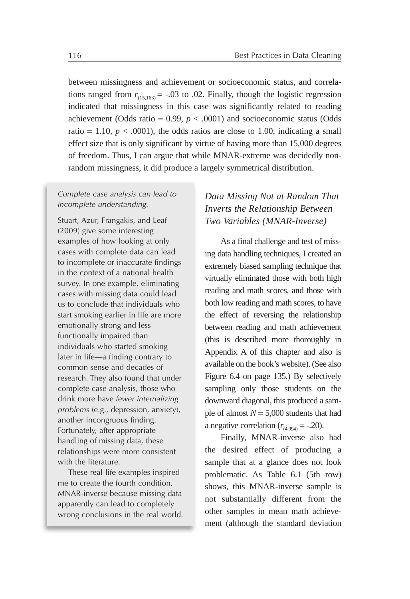between missingness and achievement or socioeconomic status, and correlations ranged from  $r_{(15,163)} = -.03$  to .02. Finally, though the logistic regression indicated that missingness in this case was significantly related to reading achievement (Odds ratio =  $0.99$ ,  $p < .0001$ ) and socioeconomic status (Odds ratio = 1.10,  $p < .0001$ ), the odds ratios are close to 1.00, indicating a small effect size that is only significant by virtue of having more than 15,000 degrees of freedom. Thus, I can argue that while MNAR-extreme was decidedly nonrandom missingness, it did produce a largely symmetrical distribution.

#### *Complete case analysis can lead to incomplete understanding.*

Stuart, Azur, Frangakis, and Leaf (2009) give some interesting examples of how looking at only cases with complete data can lead to incomplete or inaccurate findings in the context of a national health survey. In one example, eliminating cases with missing data could lead us to conclude that individuals who start smoking earlier in life are more emotionally strong and less functionally impaired than individuals who started smoking later in life—a finding contrary to common sense and decades of research. They also found that under complete case analysis, those who drink more have *fewer internalizing problems* (e.g., depression, anxiety), another incongruous finding. Fortunately, after appropriate handling of missing data, these relationships were more consistent with the literature.

These real-life examples inspired me to create the fourth condition, MNAR-inverse because missing data apparently can lead to completely wrong conclusions in the real world.

## *Data Missing Not at Random That Inverts the Relationship Between Two Variables (MNAR-Inverse)*

As a final challenge and test of missing data handling techniques, I created an extremely biased sampling technique that virtually eliminated those with both high reading and math scores, and those with both low reading and math scores, to have the effect of reversing the relationship between reading and math achievement (this is described more thoroughly in Appendix A of this chapter and also is available on the book's website). (See also Figure 6.4 on page 135.) By selectively sampling only those students on the downward diagonal, this produced a sample of almost  $N = 5,000$  students that had a negative correlation  $(r_{(4.994)} = -.20)$ .

Finally, MNAR-inverse also had the desired effect of producing a sample that at a glance does not look problematic. As Table 6.1 (5th row) shows, this MNAR-inverse sample is not substantially different from the other samples in mean math achievement (although the standard deviation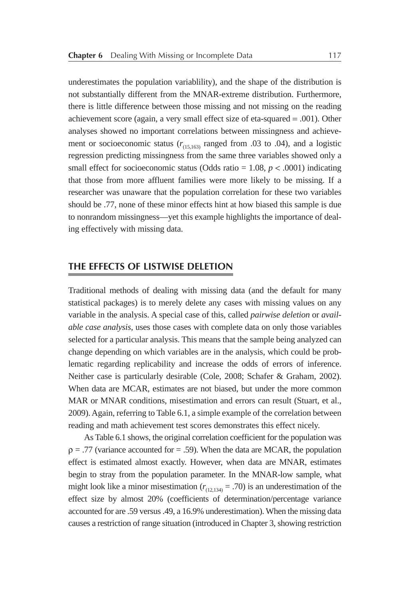underestimates the population variablility), and the shape of the distribution is not substantially different from the MNAR-extreme distribution. Furthermore, there is little difference between those missing and not missing on the reading achievement score (again, a very small effect size of eta-squared = .001). Other analyses showed no important correlations between missingness and achievement or socioeconomic status  $(r_{(15,163)}$  ranged from .03 to .04), and a logistic regression predicting missingness from the same three variables showed only a small effect for socioeconomic status (Odds ratio  $= 1.08$ ,  $p < .0001$ ) indicating that those from more affluent families were more likely to be missing. If a researcher was unaware that the population correlation for these two variables should be .77, none of these minor effects hint at how biased this sample is due to nonrandom missingness—yet this example highlights the importance of dealing effectively with missing data.

## **THE EFFECTS OF LISTWISE DELETION**

Traditional methods of dealing with missing data (and the default for many statistical packages) is to merely delete any cases with missing values on any variable in the analysis. A special case of this, called *pairwise deletion* or *available case analysis,* uses those cases with complete data on only those variables selected for a particular analysis. This means that the sample being analyzed can change depending on which variables are in the analysis, which could be problematic regarding replicability and increase the odds of errors of inference. Neither case is particularly desirable (Cole, 2008; Schafer & Graham, 2002). When data are MCAR, estimates are not biased, but under the more common MAR or MNAR conditions, misestimation and errors can result (Stuart, et al., 2009). Again, referring to Table 6.1, a simple example of the correlation between reading and math achievement test scores demonstrates this effect nicely.

As Table 6.1 shows, the original correlation coefficient for the population was  $\rho = .77$  (variance accounted for  $= .59$ ). When the data are MCAR, the population effect is estimated almost exactly. However, when data are MNAR, estimates begin to stray from the population parameter. In the MNAR-low sample, what might look like a minor misestimation ( $r_{(12,134)} = .70$ ) is an underestimation of the effect size by almost 20% (coefficients of determination/percentage variance accounted for are .59 versus .49, a 16.9% underestimation). When the missing data causes a restriction of range situation (introduced in Chapter 3, showing restriction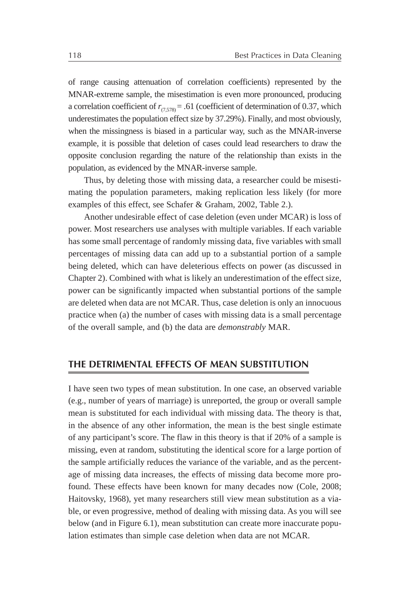of range causing attenuation of correlation coefficients) represented by the MNAR-extreme sample, the misestimation is even more pronounced, producing a correlation coefficient of  $r_{(7,578)} = .61$  (coefficient of determination of 0.37, which underestimates the population effect size by 37.29%). Finally, and most obviously, when the missingness is biased in a particular way, such as the MNAR-inverse example, it is possible that deletion of cases could lead researchers to draw the opposite conclusion regarding the nature of the relationship than exists in the population, as evidenced by the MNAR-inverse sample.

Thus, by deleting those with missing data, a researcher could be misestimating the population parameters, making replication less likely (for more examples of this effect, see Schafer & Graham, 2002, Table 2.).

Another undesirable effect of case deletion (even under MCAR) is loss of power. Most researchers use analyses with multiple variables. If each variable has some small percentage of randomly missing data, five variables with small percentages of missing data can add up to a substantial portion of a sample being deleted, which can have deleterious effects on power (as discussed in Chapter 2). Combined with what is likely an underestimation of the effect size, power can be significantly impacted when substantial portions of the sample are deleted when data are not MCAR. Thus, case deletion is only an innocuous practice when (a) the number of cases with missing data is a small percentage of the overall sample, and (b) the data are *demonstrably* MAR.

## **THE DETRIMENTAL EFFECTS OF MEAN SUBSTITUTION**

I have seen two types of mean substitution. In one case, an observed variable (e.g., number of years of marriage) is unreported, the group or overall sample mean is substituted for each individual with missing data. The theory is that, in the absence of any other information, the mean is the best single estimate of any participant's score. The flaw in this theory is that if 20% of a sample is missing, even at random, substituting the identical score for a large portion of the sample artificially reduces the variance of the variable, and as the percentage of missing data increases, the effects of missing data become more profound. These effects have been known for many decades now (Cole, 2008; Haitovsky, 1968), yet many researchers still view mean substitution as a viable, or even progressive, method of dealing with missing data. As you will see below (and in Figure 6.1), mean substitution can create more inaccurate population estimates than simple case deletion when data are not MCAR.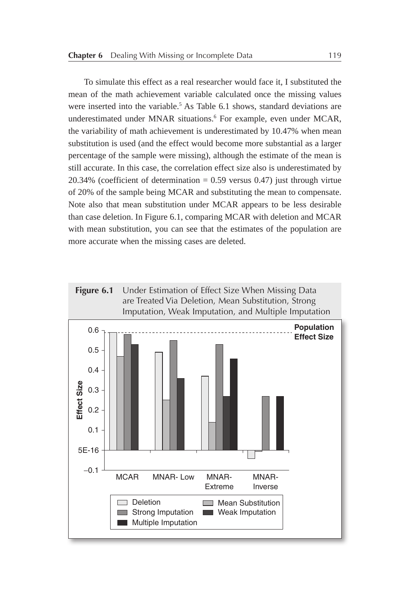To simulate this effect as a real researcher would face it, I substituted the mean of the math achievement variable calculated once the missing values were inserted into the variable.<sup>5</sup> As Table 6.1 shows, standard deviations are underestimated under MNAR situations.<sup>6</sup> For example, even under MCAR, the variability of math achievement is underestimated by 10.47% when mean substitution is used (and the effect would become more substantial as a larger percentage of the sample were missing), although the estimate of the mean is still accurate. In this case, the correlation effect size also is underestimated by  $20.34\%$  (coefficient of determination = 0.59 versus 0.47) just through virtue of 20% of the sample being MCAR and substituting the mean to compensate. Note also that mean substitution under MCAR appears to be less desirable than case deletion. In Figure 6.1, comparing MCAR with deletion and MCAR with mean substitution, you can see that the estimates of the population are more accurate when the missing cases are deleted.



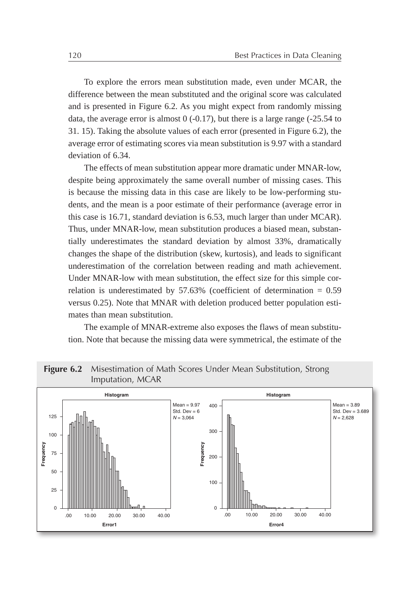To explore the errors mean substitution made, even under MCAR, the difference between the mean substituted and the original score was calculated and is presented in Figure 6.2. As you might expect from randomly missing data, the average error is almost  $0$  (-0.17), but there is a large range (-25.54 to 31. 15). Taking the absolute values of each error (presented in Figure 6.2), the average error of estimating scores via mean substitution is 9.97 with a standard deviation of 6.34.

The effects of mean substitution appear more dramatic under MNAR-low, despite being approximately the same overall number of missing cases. This is because the missing data in this case are likely to be low-performing students, and the mean is a poor estimate of their performance (average error in this case is 16.71, standard deviation is 6.53, much larger than under MCAR). Thus, under MNAR-low, mean substitution produces a biased mean, substantially underestimates the standard deviation by almost 33%, dramatically changes the shape of the distribution (skew, kurtosis), and leads to significant underestimation of the correlation between reading and math achievement. Under MNAR-low with mean substitution, the effect size for this simple correlation is underestimated by  $57.63\%$  (coefficient of determination = 0.59 versus 0.25). Note that MNAR with deletion produced better population estimates than mean substitution.

The example of MNAR-extreme also exposes the flaws of mean substitution. Note that because the missing data were symmetrical, the estimate of the



**Figure 6.2** Misestimation of Math Scores Under Mean Substitution, Strong Imputation, MCAR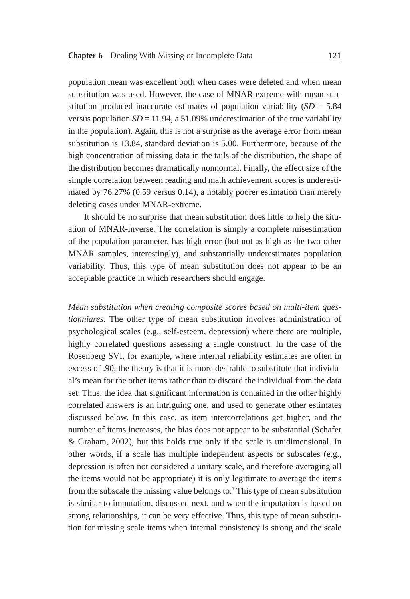population mean was excellent both when cases were deleted and when mean substitution was used. However, the case of MNAR-extreme with mean substitution produced inaccurate estimates of population variability  $(SD = 5.84)$ versus population  $SD = 11.94$ , a 51.09% underestimation of the true variability in the population). Again, this is not a surprise as the average error from mean substitution is 13.84, standard deviation is 5.00. Furthermore, because of the high concentration of missing data in the tails of the distribution, the shape of the distribution becomes dramatically nonnormal. Finally, the effect size of the simple correlation between reading and math achievement scores is underestimated by 76.27% (0.59 versus 0.14), a notably poorer estimation than merely deleting cases under MNAR-extreme.

It should be no surprise that mean substitution does little to help the situation of MNAR-inverse. The correlation is simply a complete misestimation of the population parameter, has high error (but not as high as the two other MNAR samples, interestingly), and substantially underestimates population variability. Thus, this type of mean substitution does not appear to be an acceptable practice in which researchers should engage.

*Mean substitution when creating composite scores based on multi-item questionniares*. The other type of mean substitution involves administration of psychological scales (e.g., self-esteem, depression) where there are multiple, highly correlated questions assessing a single construct. In the case of the Rosenberg SVI, for example, where internal reliability estimates are often in excess of .90, the theory is that it is more desirable to substitute that individual's mean for the other items rather than to discard the individual from the data set. Thus, the idea that significant information is contained in the other highly correlated answers is an intriguing one, and used to generate other estimates discussed below. In this case, as item intercorrelations get higher, and the number of items increases, the bias does not appear to be substantial (Schafer & Graham, 2002), but this holds true only if the scale is unidimensional. In other words, if a scale has multiple independent aspects or subscales (e.g., depression is often not considered a unitary scale, and therefore averaging all the items would not be appropriate) it is only legitimate to average the items from the subscale the missing value belongs to.<sup>7</sup> This type of mean substitution is similar to imputation, discussed next, and when the imputation is based on strong relationships, it can be very effective. Thus, this type of mean substitution for missing scale items when internal consistency is strong and the scale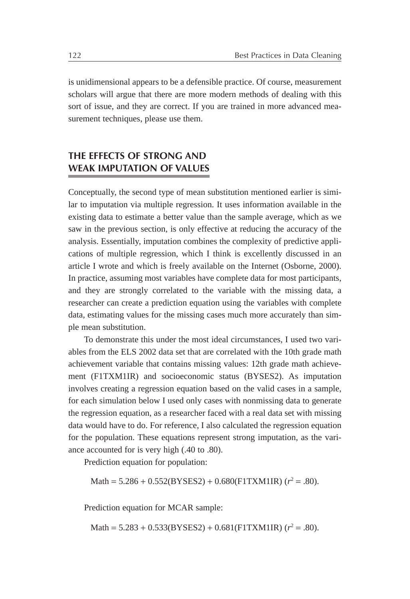is unidimensional appears to be a defensible practice. Of course, measurement scholars will argue that there are more modern methods of dealing with this sort of issue, and they are correct. If you are trained in more advanced measurement techniques, please use them.

## **THE EFFECTS OF STRONG AND WEAK IMPUTATION OF VALUES**

Conceptually, the second type of mean substitution mentioned earlier is similar to imputation via multiple regression. It uses information available in the existing data to estimate a better value than the sample average, which as we saw in the previous section, is only effective at reducing the accuracy of the analysis. Essentially, imputation combines the complexity of predictive applications of multiple regression, which I think is excellently discussed in an article I wrote and which is freely available on the Internet (Osborne, 2000). In practice, assuming most variables have complete data for most participants, and they are strongly correlated to the variable with the missing data, a researcher can create a prediction equation using the variables with complete data, estimating values for the missing cases much more accurately than simple mean substitution.

To demonstrate this under the most ideal circumstances, I used two variables from the ELS 2002 data set that are correlated with the 10th grade math achievement variable that contains missing values: 12th grade math achievement (F1TXM1IR) and socioeconomic status (BYSES2). As imputation involves creating a regression equation based on the valid cases in a sample, for each simulation below I used only cases with nonmissing data to generate the regression equation, as a researcher faced with a real data set with missing data would have to do. For reference, I also calculated the regression equation for the population. These equations represent strong imputation, as the variance accounted for is very high (.40 to .80).

Prediction equation for population:

Math =  $5.286 + 0.552(BYSES2) + 0.680(F1TXM1IR)$  ( $r^2 = .80$ ).

Prediction equation for MCAR sample:

Math =  $5.283 + 0.533(BYSES2) + 0.681(F1TXM1IR)$  ( $r^2 = .80$ ).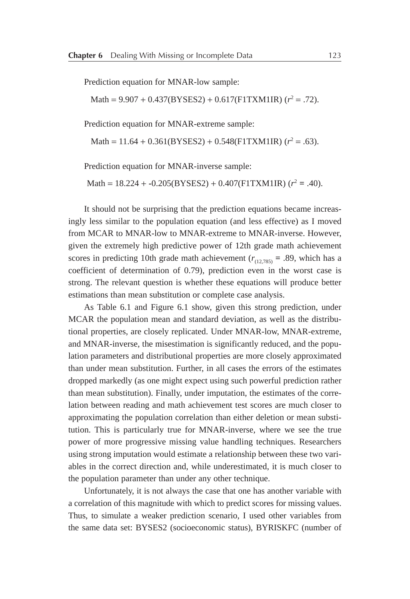Prediction equation for MNAR-low sample:

Math =  $9.907 + 0.437(BYSES2) + 0.617(F1TXM1IR)$  ( $r^2 = .72$ ).

Prediction equation for MNAR-extreme sample:

Math =  $11.64 + 0.361(BYSES2) + 0.548(F1TXM1IR)$  ( $r^2 = .63$ ).

Prediction equation for MNAR-inverse sample:

 $\text{Math} = 18.224 + -0.205(\text{BYSES2}) + 0.407(\text{FITXMLIR}) \ (r^2 = .40).$ 

It should not be surprising that the prediction equations became increasingly less similar to the population equation (and less effective) as I moved from MCAR to MNAR-low to MNAR-extreme to MNAR-inverse. However, given the extremely high predictive power of 12th grade math achievement scores in predicting 10th grade math achievement ( $r_{(12,785)}$  = .89, which has a coefficient of determination of 0.79), prediction even in the worst case is strong. The relevant question is whether these equations will produce better estimations than mean substitution or complete case analysis.

As Table 6.1 and Figure 6.1 show, given this strong prediction, under MCAR the population mean and standard deviation, as well as the distributional properties, are closely replicated. Under MNAR-low, MNAR-extreme, and MNAR-inverse, the misestimation is significantly reduced, and the population parameters and distributional properties are more closely approximated than under mean substitution. Further, in all cases the errors of the estimates dropped markedly (as one might expect using such powerful prediction rather than mean substitution). Finally, under imputation, the estimates of the correlation between reading and math achievement test scores are much closer to approximating the population correlation than either deletion or mean substitution. This is particularly true for MNAR-inverse, where we see the true power of more progressive missing value handling techniques. Researchers using strong imputation would estimate a relationship between these two variables in the correct direction and, while underestimated, it is much closer to the population parameter than under any other technique.

Unfortunately, it is not always the case that one has another variable with a correlation of this magnitude with which to predict scores for missing values. Thus, to simulate a weaker prediction scenario, I used other variables from the same data set: BYSES2 (socioeconomic status), BYRISKFC (number of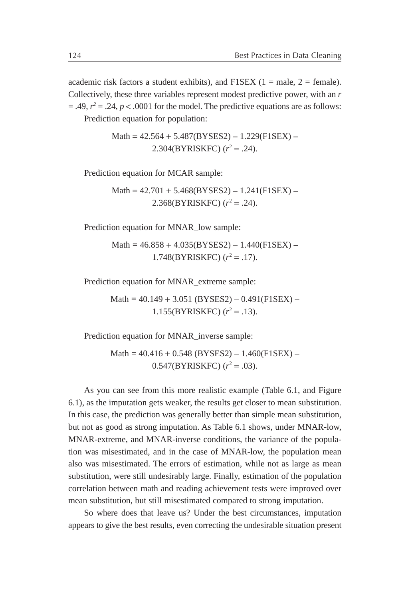academic risk factors a student exhibits), and  $F1SEX$  (1 = male, 2 = female). Collectively, these three variables represent modest predictive power, with an *r*  $=$  .49,  $r^2 = .24$ ,  $p < .0001$  for the model. The predictive equations are as follows: Prediction equation for population:

Math = 
$$
42.564 + 5.487(BYSES2) - 1.229(F1SEX) - 2.304(BYRISKFC) (r^2 = .24).
$$

Prediction equation for MCAR sample:

Math = 42.701 + 5.468(BYSES2) **–** 1.241(F1SEX) **–** 2.368(BYRISKFC)  $(r^2 = .24)$ .

Prediction equation for MNAR\_low sample:

Math **=** 46.858 + 4.035(BYSES2) – 1.440(F1SEX) **–**  1.748(BYRISKFC)  $(r^2 = .17)$ .

Prediction equation for MNAR\_extreme sample:

Math **=** 40.149 + 3.051 (BYSES2) – 0.491(F1SEX) **–**  1.155(BYRISKFC)  $(r^2 = .13)$ .

Prediction equation for MNAR\_inverse sample:

 $Math = 40.416 + 0.548$  (BYSES2) – 1.460(F1SEX) –  $0.547(BYRISKFC)$  ( $r^2 = .03$ ).

As you can see from this more realistic example (Table 6.1, and Figure 6.1), as the imputation gets weaker, the results get closer to mean substitution. In this case, the prediction was generally better than simple mean substitution, but not as good as strong imputation. As Table 6.1 shows, under MNAR-low, MNAR-extreme, and MNAR-inverse conditions, the variance of the population was misestimated, and in the case of MNAR-low, the population mean also was misestimated. The errors of estimation, while not as large as mean substitution, were still undesirably large. Finally, estimation of the population correlation between math and reading achievement tests were improved over mean substitution, but still misestimated compared to strong imputation.

So where does that leave us? Under the best circumstances, imputation appears to give the best results, even correcting the undesirable situation present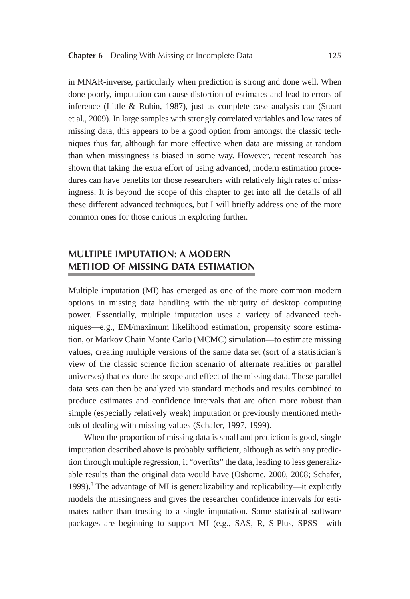in MNAR-inverse, particularly when prediction is strong and done well. When done poorly, imputation can cause distortion of estimates and lead to errors of inference (Little & Rubin, 1987), just as complete case analysis can (Stuart et al., 2009). In large samples with strongly correlated variables and low rates of missing data, this appears to be a good option from amongst the classic techniques thus far, although far more effective when data are missing at random than when missingness is biased in some way. However, recent research has shown that taking the extra effort of using advanced, modern estimation procedures can have benefits for those researchers with relatively high rates of missingness. It is beyond the scope of this chapter to get into all the details of all these different advanced techniques, but I will briefly address one of the more common ones for those curious in exploring further.

# **MULTIPLE IMPUTATION: A MODERN METHOD OF MISSING DATA ESTIMATION**

Multiple imputation (MI) has emerged as one of the more common modern options in missing data handling with the ubiquity of desktop computing power. Essentially, multiple imputation uses a variety of advanced techniques—e.g., EM/maximum likelihood estimation, propensity score estimation, or Markov Chain Monte Carlo (MCMC) simulation—to estimate missing values, creating multiple versions of the same data set (sort of a statistician's view of the classic science fiction scenario of alternate realities or parallel universes) that explore the scope and effect of the missing data. These parallel data sets can then be analyzed via standard methods and results combined to produce estimates and confidence intervals that are often more robust than simple (especially relatively weak) imputation or previously mentioned methods of dealing with missing values (Schafer, 1997, 1999).

When the proportion of missing data is small and prediction is good, single imputation described above is probably sufficient, although as with any prediction through multiple regression, it "overfits" the data, leading to less generalizable results than the original data would have (Osborne, 2000, 2008; Schafer, 1999).<sup>8</sup> The advantage of MI is generalizability and replicability—it explicitly models the missingness and gives the researcher confidence intervals for estimates rather than trusting to a single imputation. Some statistical software packages are beginning to support MI (e.g., SAS, R, S-Plus, SPSS—with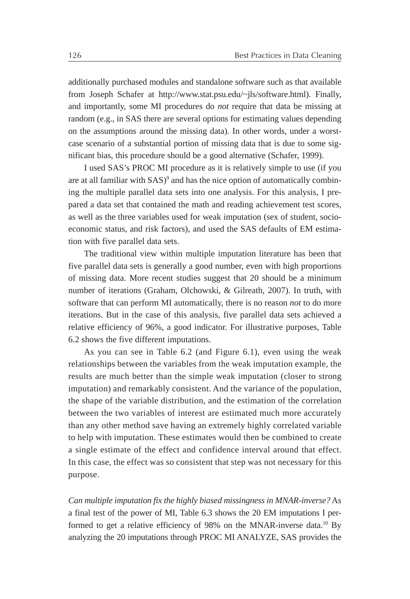additionally purchased modules and standalone software such as that available from Joseph Schafer at http://www.stat.psu.edu/~jls/software.html). Finally, and importantly, some MI procedures do *not* require that data be missing at random (e.g., in SAS there are several options for estimating values depending on the assumptions around the missing data). In other words, under a worstcase scenario of a substantial portion of missing data that is due to some significant bias, this procedure should be a good alternative (Schafer, 1999).

I used SAS's PROC MI procedure as it is relatively simple to use (if you are at all familiar with  $SAS$ <sup> $9$ </sup> and has the nice option of automatically combining the multiple parallel data sets into one analysis. For this analysis, I prepared a data set that contained the math and reading achievement test scores, as well as the three variables used for weak imputation (sex of student, socioeconomic status, and risk factors), and used the SAS defaults of EM estimation with five parallel data sets.

The traditional view within multiple imputation literature has been that five parallel data sets is generally a good number, even with high proportions of missing data. More recent studies suggest that 20 should be a minimum number of iterations (Graham, Olchowski, & Gilreath, 2007). In truth, with software that can perform MI automatically, there is no reason *not* to do more iterations. But in the case of this analysis, five parallel data sets achieved a relative efficiency of 96%, a good indicator. For illustrative purposes, Table 6.2 shows the five different imputations.

As you can see in Table 6.2 (and Figure 6.1), even using the weak relationships between the variables from the weak imputation example, the results are much better than the simple weak imputation (closer to strong imputation) and remarkably consistent. And the variance of the population, the shape of the variable distribution, and the estimation of the correlation between the two variables of interest are estimated much more accurately than any other method save having an extremely highly correlated variable to help with imputation. These estimates would then be combined to create a single estimate of the effect and confidence interval around that effect. In this case, the effect was so consistent that step was not necessary for this purpose.

*Can multiple imputation fix the highly biased missingness in MNAR-inverse?* As a final test of the power of MI, Table 6.3 shows the 20 EM imputations I performed to get a relative efficiency of 98% on the MNAR-inverse data.<sup>10</sup> By analyzing the 20 imputations through PROC MI ANALYZE, SAS provides the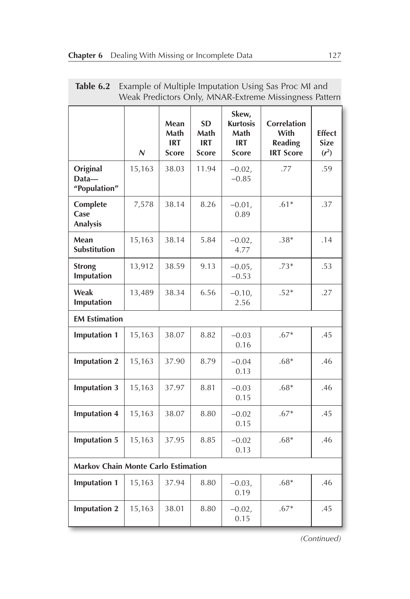|                                     | $\mathsf N$                                | Mean<br>Math<br><b>IRT</b><br><b>Score</b> | <b>SD</b><br>Math<br><b>IRT</b><br><b>Score</b> | Skew,<br><b>Kurtosis</b><br>Math<br><b>IRT</b><br><b>Score</b> | <b>Correlation</b><br>With<br><b>Reading</b><br><b>IRT Score</b> | <b>Effect</b><br><b>Size</b><br>$(r^2)$ |  |  |
|-------------------------------------|--------------------------------------------|--------------------------------------------|-------------------------------------------------|----------------------------------------------------------------|------------------------------------------------------------------|-----------------------------------------|--|--|
| Original<br>Data-<br>"Population"   | 15,163                                     | 38.03                                      | 11.94                                           | $-0.02$ ,<br>$-0.85$                                           | .77                                                              | .59                                     |  |  |
| Complete<br>Case<br><b>Analysis</b> | 7,578                                      | 38.14                                      | 8.26                                            | $-0.01$ ,<br>0.89                                              | $.61*$                                                           | .37                                     |  |  |
| Mean<br>Substitution                | 15,163                                     | 38.14                                      | 5.84                                            | $-0.02$ ,<br>4.77                                              | $.38*$                                                           | .14                                     |  |  |
| <b>Strong</b><br>Imputation         | 13,912                                     | 38.59                                      | 9.13                                            | $-0.05$ ,<br>$-0.53$                                           | $.73*$                                                           | .53                                     |  |  |
| Weak<br>Imputation                  | 13,489                                     | 38.34                                      | 6.56                                            | $-0.10$ ,<br>2.56                                              | $.52*$                                                           | .27                                     |  |  |
| <b>EM Estimation</b>                |                                            |                                            |                                                 |                                                                |                                                                  |                                         |  |  |
| <b>Imputation 1</b>                 | 15,163                                     | 38.07                                      | 8.82                                            | $-0.03$<br>0.16                                                | $.67*$                                                           | .45                                     |  |  |
| <b>Imputation 2</b>                 | 15,163                                     | 37.90                                      | 8.79                                            | $-0.04$<br>0.13                                                | $.68*$                                                           | .46                                     |  |  |
| <b>Imputation 3</b>                 | 15,163                                     | 37.97                                      | 8.81                                            | $-0.03$<br>0.15                                                | $.68*$                                                           | .46                                     |  |  |
| <b>Imputation 4</b>                 | 15,163                                     | 38.07                                      | 8.80                                            | $-0.02$<br>0.15                                                | $.67*$                                                           | .45                                     |  |  |
| <b>Imputation 5</b>                 | 15,163                                     | 37.95                                      | 8.85                                            | $-0.02$<br>0.13                                                | $.68*$                                                           | .46                                     |  |  |
|                                     | <b>Markov Chain Monte Carlo Estimation</b> |                                            |                                                 |                                                                |                                                                  |                                         |  |  |
| <b>Imputation 1</b>                 | 15,163                                     | 37.94                                      | 8.80                                            | $-0.03,$<br>0.19                                               | $.68*$                                                           | .46                                     |  |  |
| <b>Imputation 2</b>                 | 15,163                                     | 38.01                                      | 8.80                                            | $-0.02$ ,<br>0.15                                              | $.67*$                                                           | .45                                     |  |  |

| <b>Table 6.2</b> Example of Multiple Imputation Using Sas Proc MI and |
|-----------------------------------------------------------------------|
| Weak Predictors Only, MNAR-Extreme Missingness Pattern                |

*(Continued)*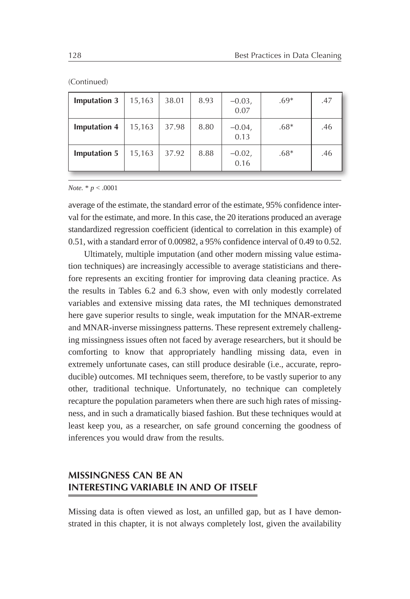| <b>Imputation 3</b> | 15,163 | 38.01 | 8.93 | $-0.03,$<br>0.07  | $.69*$ | .47 |
|---------------------|--------|-------|------|-------------------|--------|-----|
| <b>Imputation 4</b> | 15,163 | 37.98 | 8.80 | $-0.04$ ,<br>0.13 | $.68*$ | .46 |
| <b>Imputation 5</b> | 15,163 | 37.92 | 8.88 | $-0.02$ ,<br>0.16 | $.68*$ | .46 |

(Continued)

*Note.* \* *p* < .0001

average of the estimate, the standard error of the estimate, 95% confidence interval for the estimate, and more. In this case, the 20 iterations produced an average standardized regression coefficient (identical to correlation in this example) of 0.51, with a standard error of 0.00982, a 95% confidence interval of 0.49 to 0.52.

Ultimately, multiple imputation (and other modern missing value estimation techniques) are increasingly accessible to average statisticians and therefore represents an exciting frontier for improving data cleaning practice. As the results in Tables 6.2 and 6.3 show, even with only modestly correlated variables and extensive missing data rates, the MI techniques demonstrated here gave superior results to single, weak imputation for the MNAR-extreme and MNAR-inverse missingness patterns. These represent extremely challenging missingness issues often not faced by average researchers, but it should be comforting to know that appropriately handling missing data, even in extremely unfortunate cases, can still produce desirable (i.e., accurate, reproducible) outcomes. MI techniques seem, therefore, to be vastly superior to any other, traditional technique. Unfortunately, no technique can completely recapture the population parameters when there are such high rates of missingness, and in such a dramatically biased fashion. But these techniques would at least keep you, as a researcher, on safe ground concerning the goodness of inferences you would draw from the results.

# **MISSINGNESS CAN BE AN INTERESTING VARIABLE IN AND OF ITSELF**

Missing data is often viewed as lost, an unfilled gap, but as I have demonstrated in this chapter, it is not always completely lost, given the availability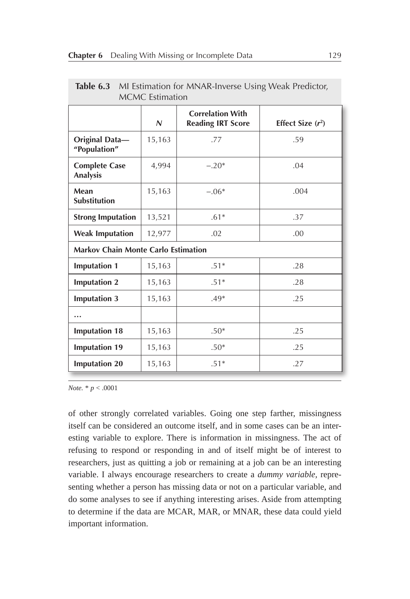|                                            | $\mathsf{N}$ | <b>Correlation With</b><br><b>Reading IRT Score</b> | Effect Size $(r^2)$ |
|--------------------------------------------|--------------|-----------------------------------------------------|---------------------|
| Original Data-<br>"Population"             | 15,163       | .77                                                 | .59                 |
| <b>Complete Case</b><br><b>Analysis</b>    | 4,994        | $-.20*$                                             | .04                 |
| Mean<br><b>Substitution</b>                | 15,163       | $-.06*$                                             | .004                |
| <b>Strong Imputation</b>                   | 13,521       | $.61*$                                              | .37                 |
| <b>Weak Imputation</b>                     | 12,977       | .02                                                 | .00                 |
| <b>Markov Chain Monte Carlo Estimation</b> |              |                                                     |                     |
| <b>Imputation 1</b>                        | 15,163       | $.51*$                                              | .28                 |
| <b>Imputation 2</b>                        | 15,163       | $.51*$                                              | .28                 |
| <b>Imputation 3</b>                        | 15,163       | $.49*$                                              | .25                 |
|                                            |              |                                                     |                     |
| <b>Imputation 18</b>                       | 15,163       | $.50*$                                              | .25                 |
| <b>Imputation 19</b>                       | 15,163       | $.50*$                                              | .25                 |
| <b>Imputation 20</b>                       | 15,163       | $.51*$                                              | .27                 |

**Table 6.3** MI Estimation for MNAR-Inverse Using Weak Predictor, MCMC Estimation

*Note.* \* *p* < .0001

of other strongly correlated variables. Going one step farther, missingness itself can be considered an outcome itself, and in some cases can be an interesting variable to explore. There is information in missingness. The act of refusing to respond or responding in and of itself might be of interest to researchers, just as quitting a job or remaining at a job can be an interesting variable. I always encourage researchers to create a *dummy variable,* representing whether a person has missing data or not on a particular variable, and do some analyses to see if anything interesting arises. Aside from attempting to determine if the data are MCAR, MAR, or MNAR, these data could yield important information.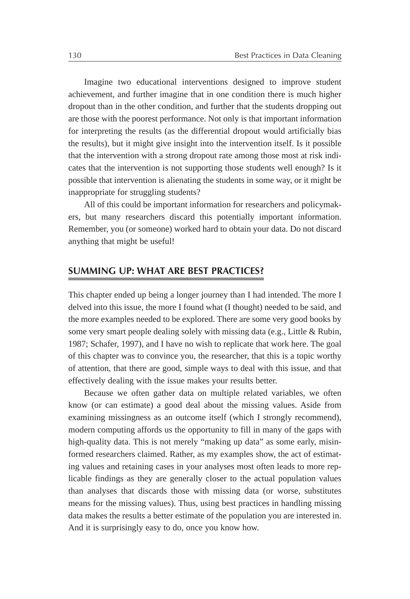Imagine two educational interventions designed to improve student achievement, and further imagine that in one condition there is much higher dropout than in the other condition, and further that the students dropping out are those with the poorest performance. Not only is that important information for interpreting the results (as the differential dropout would artificially bias the results), but it might give insight into the intervention itself. Is it possible that the intervention with a strong dropout rate among those most at risk indicates that the intervention is not supporting those students well enough? Is it possible that intervention is alienating the students in some way, or it might be inappropriate for struggling students?

All of this could be important information for researchers and policymakers, but many researchers discard this potentially important information. Remember, you (or someone) worked hard to obtain your data. Do not discard anything that might be useful!

#### **SUMMING UP: WHAT ARE BEST PRACTICES?**

This chapter ended up being a longer journey than I had intended. The more I delved into this issue, the more I found what (I thought) needed to be said, and the more examples needed to be explored. There are some very good books by some very smart people dealing solely with missing data (e.g., Little & Rubin, 1987; Schafer, 1997), and I have no wish to replicate that work here. The goal of this chapter was to convince you, the researcher, that this is a topic worthy of attention, that there are good, simple ways to deal with this issue, and that effectively dealing with the issue makes your results better.

Because we often gather data on multiple related variables, we often know (or can estimate) a good deal about the missing values. Aside from examining missingness as an outcome itself (which I strongly recommend), modern computing affords us the opportunity to fill in many of the gaps with high-quality data. This is not merely "making up data" as some early, misinformed researchers claimed. Rather, as my examples show, the act of estimating values and retaining cases in your analyses most often leads to more replicable findings as they are generally closer to the actual population values than analyses that discards those with missing data (or worse, substitutes means for the missing values). Thus, using best practices in handling missing data makes the results a better estimate of the population you are interested in. And it is surprisingly easy to do, once you know how.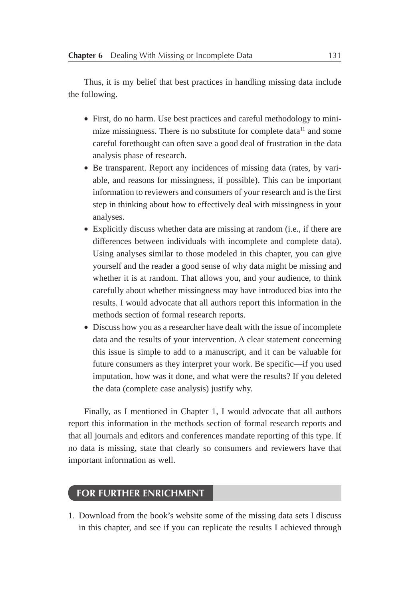Thus, it is my belief that best practices in handling missing data include the following.

- First, do no harm. Use best practices and careful methodology to minimize missingness. There is no substitute for complete data<sup>11</sup> and some careful forethought can often save a good deal of frustration in the data analysis phase of research.
- Be transparent. Report any incidences of missing data (rates, by variable, and reasons for missingness, if possible). This can be important information to reviewers and consumers of your research and is the first step in thinking about how to effectively deal with missingness in your analyses.
- Explicitly discuss whether data are missing at random (i.e., if there are differences between individuals with incomplete and complete data). Using analyses similar to those modeled in this chapter, you can give yourself and the reader a good sense of why data might be missing and whether it is at random. That allows you, and your audience, to think carefully about whether missingness may have introduced bias into the results. I would advocate that all authors report this information in the methods section of formal research reports.
- Discuss how you as a researcher have dealt with the issue of incomplete data and the results of your intervention. A clear statement concerning this issue is simple to add to a manuscript, and it can be valuable for future consumers as they interpret your work. Be specific—if you used imputation, how was it done, and what were the results? If you deleted the data (complete case analysis) justify why.

Finally, as I mentioned in Chapter 1, I would advocate that all authors report this information in the methods section of formal research reports and that all journals and editors and conferences mandate reporting of this type. If no data is missing, state that clearly so consumers and reviewers have that important information as well.

## **FOR FURTHER ENRICHMENT**

1. Download from the book's website some of the missing data sets I discuss in this chapter, and see if you can replicate the results I achieved through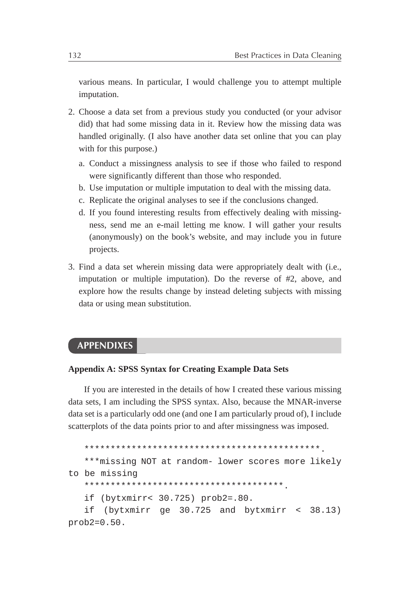various means. In particular, I would challenge you to attempt multiple imputation.

- 2. Choose a data set from a previous study you conducted (or your advisor did) that had some missing data in it. Review how the missing data was handled originally. (I also have another data set online that you can play with for this purpose.)
	- a. Conduct a missingness analysis to see if those who failed to respond were significantly different than those who responded.
	- b. Use imputation or multiple imputation to deal with the missing data.
	- c. Replicate the original analyses to see if the conclusions changed.
	- d. If you found interesting results from effectively dealing with missingness, send me an e-mail letting me know. I will gather your results (anonymously) on the book's website, and may include you in future projects.
- 3. Find a data set wherein missing data were appropriately dealt with (i.e., imputation or multiple imputation). Do the reverse of #2, above, and explore how the results change by instead deleting subjects with missing data or using mean substitution.

## **APPENDIXES**

#### **Appendix A: SPSS Syntax for Creating Example Data Sets**

If you are interested in the details of how I created these various missing data sets, I am including the SPSS syntax. Also, because the MNAR-inverse data set is a particularly odd one (and one I am particularly proud of), I include scatterplots of the data points prior to and after missingness was imposed.

```
*********************************************.
   ***missing NOT at random- lower scores more likely 
to be missing
   **************************************.
   if (bytxmirr< 30.725) prob2=.80.
   if (bytxmirr ge 30.725 and bytxmirr < 38.13) 
prob2=0.50.
```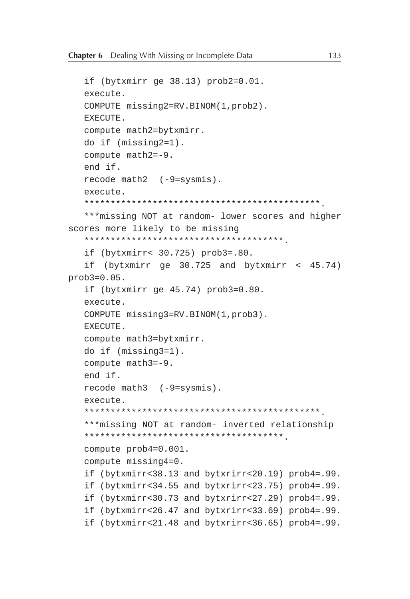```
if (bytxmirr ge 38.13) prob2=0.01.
   execute.
   COMPUTE missing2=RV.BINOM(1,prob2).
   EXECUTE.
   compute math2=bytxmirr.
   do if (missing2=1). 
   compute math2=-9.
   end if.
   recode math2 (-9=sysmis).
   execute.
   *********************************************.
   ***missing NOT at random- lower scores and higher 
scores more likely to be missing
   **************************************.
   if (bytxmirr< 30.725) prob3=.80.
   if (bytxmirr ge 30.725 and bytxmirr < 45.74) 
prob3=0.05.
   if (bytxmirr ge 45.74) prob3=0.80.
   execute.
   COMPUTE missing3=RV.BINOM(1,prob3).
   EXECUTE.
   compute math3=bytxmirr.
   do if (missing3=1). 
   compute math3=-9.
   end if.
   recode math3 (-9=sysmis).
   execute.
   *********************************************.
   ***missing NOT at random- inverted relationship
   **************************************.
   compute prob4=0.001.
   compute missing4=0.
   if (bytxmirr<38.13 and bytxrirr<20.19) prob4=.99.
   if (bytxmirr<34.55 and bytxrirr<23.75) prob4=.99.
   if (bytxmirr<30.73 and bytxrirr<27.29) prob4=.99.
   if (bytxmirr<26.47 and bytxrirr<33.69) prob4=.99.
   if (bytxmirr<21.48 and bytxrirr<36.65) prob4=.99.
```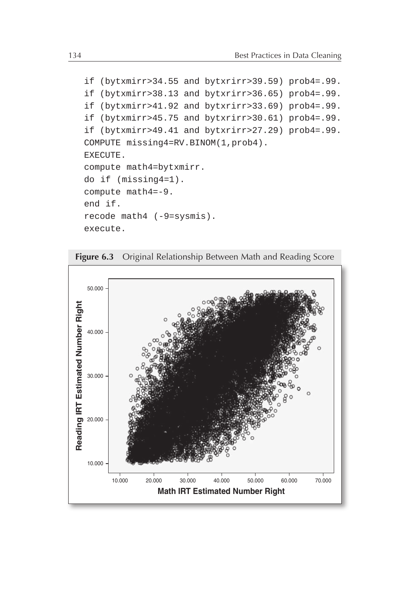```
if (bytxmirr>34.55 and bytxrirr>39.59) prob4=.99.
if (bytxmirr>38.13 and bytxrirr>36.65) prob4=.99.
if (bytxmirr>41.92 and bytxrirr>33.69) prob4=.99.
if (bytxmirr>45.75 and bytxrirr>30.61) prob4=.99.
if (bytxmirr>49.41 and bytxrirr>27.29) prob4=.99.
COMPUTE missing4=RV.BINOM(1,prob4).
EXECUTE.
compute math4=bytxmirr.
do if (missing4=1). 
compute math4=-9.
end if.
recode math4 (-9=sysmis).
execute.
```


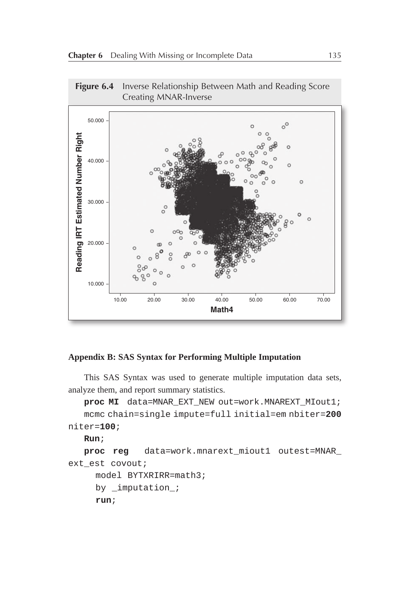

**Figure 6.4** Inverse Relationship Between Math and Reading Score Creating MNAR-Inverse

#### **Appendix B: SAS Syntax for Performing Multiple Imputation**

This SAS Syntax was used to generate multiple imputation data sets, analyze them, and report summary statistics.

```
proc MI data=MNAR_EXT_NEW out=work.MNAREXT_MIout1;
   mcmc chain=single impute=full initial=em nbiter=200
niter=100;
   Run;
   proc reg data=work.mnarext_miout1 outest=MNAR_
ext_est covout;
      model BYTXRIRR=math3;
      by _imputation_;
      run;
```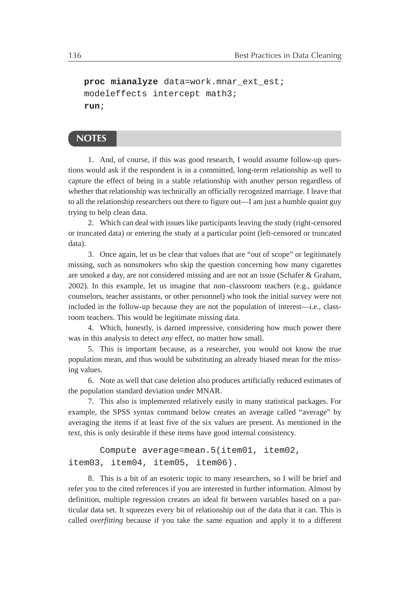```
proc mianalyze data=work.mnar_ext_est;
modeleffects intercept math3;
run;
```
## **NOTES**

1. And, of course, if this was good research, I would assume follow-up questions would ask if the respondent is in a committed, long-term relationship as well to capture the effect of being in a stable relationship with another person regardless of whether that relationship was technically an officially recognized marriage. I leave that to all the relationship researchers out there to figure out—I am just a humble quaint guy trying to help clean data.

2. Which can deal with issues like participants leaving the study (right-censored or truncated data) or entering the study at a particular point (left-censored or truncated data).

3. Once again, let us be clear that values that are "out of scope" or legitimately missing, such as nonsmokers who skip the question concerning how many cigarettes are smoked a day, are not considered missing and are not an issue (Schafer & Graham, 2002). In this example, let us imagine that non–classroom teachers (e.g., guidance counselors, teacher assistants, or other personnel) who took the initial survey were not included in the follow-up because they are not the population of interest—i.e., classroom teachers. This would be legitimate missing data.

4. Which, honestly, is darned impressive, considering how much power there was in this analysis to detect *any* effect, no matter how small.

5. This is important because, as a researcher, you would not know the true population mean, and thus would be substituting an already biased mean for the missing values.

6. Note as well that case deletion also produces artificially reduced estimates of the population standard deviation under MNAR.

7. This also is implemented relatively easily in many statistical packages. For example, the SPSS syntax command below creates an average called "average" by averaging the items if at least five of the six values are present. As mentioned in the text, this is only desirable if these items have good internal consistency.

```
Compute average=mean.5(item01, item02, 
item03, item04, item05, item06).
```
8. This is a bit of an esoteric topic to many researchers, so I will be brief and refer you to the cited references if you are interested in further information. Almost by definition, multiple regression creates an ideal fit between variables based on a particular data set. It squeezes every bit of relationship out of the data that it can. This is called *overfitting* because if you take the same equation and apply it to a different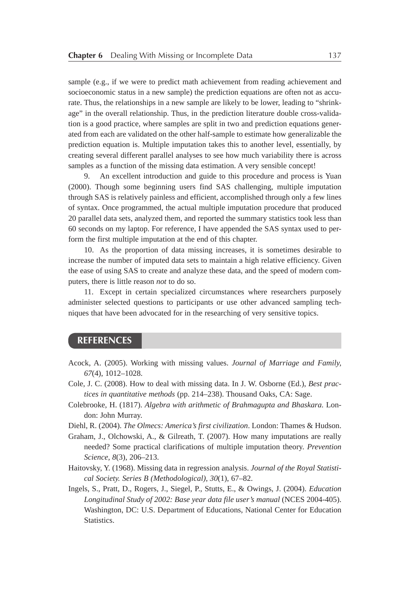sample (e.g., if we were to predict math achievement from reading achievement and socioeconomic status in a new sample) the prediction equations are often not as accurate. Thus, the relationships in a new sample are likely to be lower, leading to "shrinkage" in the overall relationship. Thus, in the prediction literature double cross-validation is a good practice, where samples are split in two and prediction equations generated from each are validated on the other half-sample to estimate how generalizable the prediction equation is. Multiple imputation takes this to another level, essentially, by creating several different parallel analyses to see how much variability there is across samples as a function of the missing data estimation. A very sensible concept!

9. An excellent introduction and guide to this procedure and process is Yuan (2000). Though some beginning users find SAS challenging, multiple imputation through SAS is relatively painless and efficient, accomplished through only a few lines of syntax. Once programmed, the actual multiple imputation procedure that produced 20 parallel data sets, analyzed them, and reported the summary statistics took less than 60 seconds on my laptop. For reference, I have appended the SAS syntax used to perform the first multiple imputation at the end of this chapter.

10. As the proportion of data missing increases, it is sometimes desirable to increase the number of imputed data sets to maintain a high relative efficiency. Given the ease of using SAS to create and analyze these data, and the speed of modern computers, there is little reason *not* to do so.

11. Except in certain specialized circumstances where researchers purposely administer selected questions to participants or use other advanced sampling techniques that have been advocated for in the researching of very sensitive topics.

#### **REFERENCES**

- Acock, A. (2005). Working with missing values. *Journal of Marriage and Family, 67*(4), 1012–1028.
- Cole, J. C. (2008). How to deal with missing data. In J. W. Osborne (Ed.), *Best practices in quantitative methods* (pp. 214–238). Thousand Oaks, CA: Sage.
- Colebrooke, H. (1817). *Algebra with arithmetic of Brahmagupta and Bhaskara.* London: John Murray.
- Diehl, R. (2004). *The Olmecs: America's first civilization*. London: Thames & Hudson.
- Graham, J., Olchowski, A., & Gilreath, T. (2007). How many imputations are really needed? Some practical clarifications of multiple imputation theory. *Prevention Science, 8*(3), 206–213.
- Haitovsky, Y. (1968). Missing data in regression analysis. *Journal of the Royal Statistical Society. Series B (Methodological), 30*(1), 67–82.
- Ingels, S., Pratt, D., Rogers, J., Siegel, P., Stutts, E., & Owings, J. (2004). *Education Longitudinal Study of 2002: Base year data file user's manual* (NCES 2004-405). Washington, DC: U.S. Department of Educations, National Center for Education **Statistics**